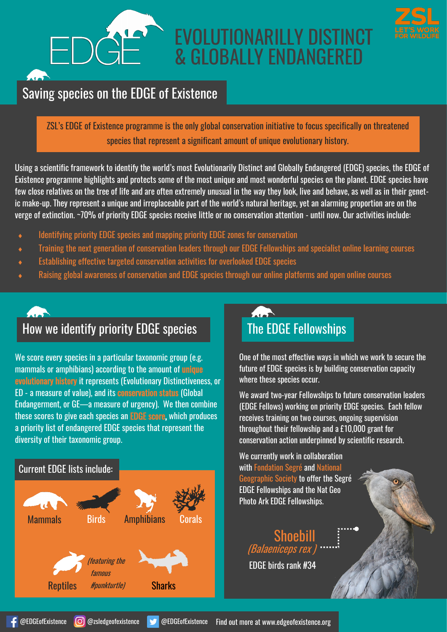# EVOLUTIONARILLY DISTINCT & GLOBALLY ENDANGERED



## Saving species on the EDGE of Existence

ZSL's EDGE of Existence programme is the only global conservation initiative to focus specifically on threatened species that represent a significant amount of unique evolutionary history.

Using a scientific framework to identify the world's most Evolutionarily Distinct and Globally Endangered (EDGE) species, the EDGE of Existence programme highlights and protects some of the most unique and most wonderful species on the planet. EDGE species have few close relatives on the tree of life and are often extremely unusual in the way they look, live and behave, as well as in their genetic make-up. They represent a unique and irreplaceable part of the world's natural heritage, yet an alarming proportion are on the verge of extinction. ~70% of priority EDGE species receive little or no conservation attention - until now. Our activities include:

- Identifying priority EDGE species and mapping priority EDGE zones for conservation
- Training the next generation of conservation leaders through our EDGE Fellowships and specialist online learning courses
- Establishing effective targeted conservation activities for overlooked EDGE species
- Raising global awareness of conservation and EDGE species through our online platforms and open online courses



We score every species in a particular taxonomic group (e.g. mammals or amphibians) according to the amount of unique evolutionary history it represents (Evolutionary Distinctiveness, or ED - a measure of value), and its conservation status (Global Endangerment, or GE—a measure of urgency). We then combine these scores to give each species an EDGE score, which produces a priority list of endangered EDGE species that represent the diversity of their taxonomic group.

## Current EDGE lists include:  $\overline{A}$ Mammals Birds Amphibians Corals (featuring the famous Reptiles *#punkturtle)* Sharks #punkturtle)

One of the most effective ways in which we work to secure the future of EDGE species is by building conservation capacity where these species occur.

We award two-year Fellowships to future conservation leaders (EDGE Fellows) working on priority EDGE species. Each fellow receives training on two courses, ongoing supervision throughout their fellowship and a £10,000 grant for conservation action underpinned by scientific research.

We currently work in collaboration with Fondation Segré and National Geographic Society to offer the Segré EDGE Fellowships and the Nat Geo Photo Ark EDGE Fellowships.

Shoehi (Balaeniceps rex EDGE birds rank #34